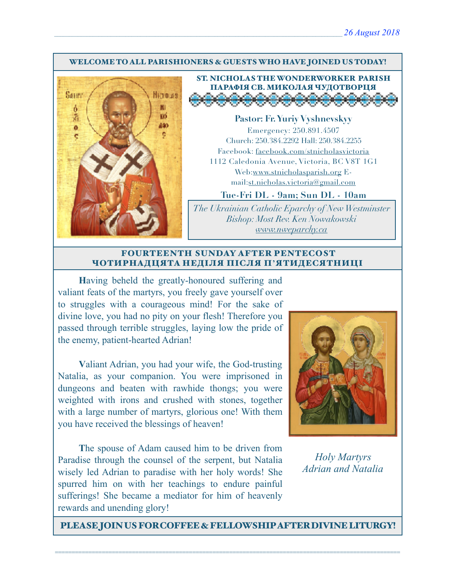#### WELCOME TO ALL PARISHIONERS & GUESTS WHO HAVE JOINED US TODAY!



ST. NICHOLAS THE WONDERWORKER PARISH ПАРАФІЯ СВ. МИКОЛАЯ ЧУДОТВОРЦЯ<br>Э<del>О ОООООООООООО</del>

**Pastor: Fr. Yuriy Vyshnevskyy** Emergency: 250.891.4507 Church: 250.384.2292 Hall: 250.384.2255 Facebook: facebook.com/stnicholasvictoria 1112 Caledonia Avenue, Victoria, BC V8T 1G1 Web[:www.stnicholasparish.org](http://www.stnicholasparish.org) Email:[st.nicholas.victoria@gmail.com](mailto:st.nicholas.victoria@gmail.com)

**Tue-Fri DL - 9am; Sun DL - 10am**

*The Ukrainian Catholic Eparchy of New Westminster Bishop: Most Rev. Ken Nowakowski [www.nweparchy.ca](http://www.nweparchy.ca)*

#### FOURTEENTH SUNDAY AFTER PENTECOST ЧОТИРНАДЦЯТА НЕДІЛЯ ПІСЛЯ П**'**ЯТИДЕСЯТНИЦІ

**H**aving beheld the greatly-honoured suffering and valiant feats of the martyrs, you freely gave yourself over to struggles with a courageous mind! For the sake of divine love, you had no pity on your flesh! Therefore you passed through terrible struggles, laying low the pride of the enemy, patient-hearted Adrian!

**V**aliant Adrian, you had your wife, the God-trusting Natalia, as your companion. You were imprisoned in dungeons and beaten with rawhide thongs; you were weighted with irons and crushed with stones, together with a large number of martyrs, glorious one! With them you have received the blessings of heaven!

**T**he spouse of Adam caused him to be driven from Paradise through the counsel of the serpent, but Natalia wisely led Adrian to paradise with her holy words! She spurred him on with her teachings to endure painful sufferings! She became a mediator for him of heavenly rewards and unending glory!



*Holy Martyrs Adrian and Natalia*

PLEASE JOIN US FOR COFFEE & FELLOWSHIP AFTER DIVINE LITURGY!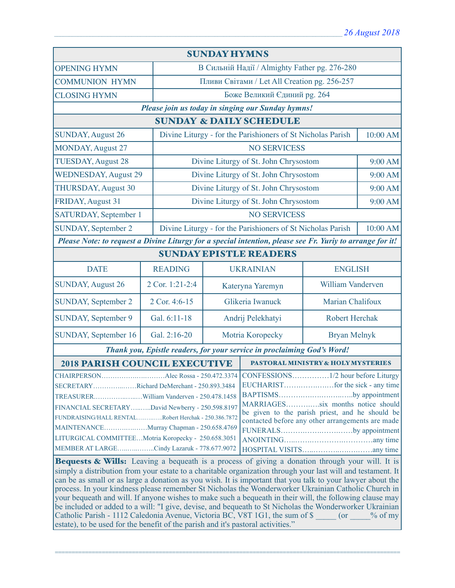| <b>SUNDAY HYMNS</b>                                                                                                                                                                                                 |                                                                                  |                                                                         |                                       |                                               |          |  |
|---------------------------------------------------------------------------------------------------------------------------------------------------------------------------------------------------------------------|----------------------------------------------------------------------------------|-------------------------------------------------------------------------|---------------------------------------|-----------------------------------------------|----------|--|
| <b>OPENING HYMN</b>                                                                                                                                                                                                 |                                                                                  |                                                                         |                                       | В Сильній Надії / Almighty Father pg. 276-280 |          |  |
| <b>COMMUNION HYMN</b>                                                                                                                                                                                               |                                                                                  | Пливи Світами / Let All Creation pg. 256-257                            |                                       |                                               |          |  |
| <b>CLOSING HYMN</b>                                                                                                                                                                                                 |                                                                                  | Боже Великий Єдиний рg. 264                                             |                                       |                                               |          |  |
| Please join us today in singing our Sunday hymns!                                                                                                                                                                   |                                                                                  |                                                                         |                                       |                                               |          |  |
| <b>SUNDAY &amp; DAILY SCHEDULE</b>                                                                                                                                                                                  |                                                                                  |                                                                         |                                       |                                               |          |  |
| <b>SUNDAY, August 26</b>                                                                                                                                                                                            |                                                                                  | Divine Liturgy - for the Parishioners of St Nicholas Parish             |                                       |                                               | 10:00 AM |  |
| <b>MONDAY, August 27</b>                                                                                                                                                                                            |                                                                                  | <b>NO SERVICESS</b>                                                     |                                       |                                               |          |  |
| <b>TUESDAY, August 28</b>                                                                                                                                                                                           |                                                                                  |                                                                         | Divine Liturgy of St. John Chrysostom |                                               | 9:00 AM  |  |
| <b>WEDNESDAY, August 29</b>                                                                                                                                                                                         |                                                                                  |                                                                         |                                       | Divine Liturgy of St. John Chrysostom         |          |  |
| <b>THURSDAY, August 30</b>                                                                                                                                                                                          |                                                                                  |                                                                         | Divine Liturgy of St. John Chrysostom |                                               | 9:00 AM  |  |
| FRIDAY, August 31                                                                                                                                                                                                   |                                                                                  |                                                                         | Divine Liturgy of St. John Chrysostom | 9:00 AM                                       |          |  |
| SATURDAY, September 1                                                                                                                                                                                               |                                                                                  | <b>NO SERVICESS</b>                                                     |                                       |                                               |          |  |
| <b>SUNDAY, September 2</b>                                                                                                                                                                                          |                                                                                  | Divine Liturgy - for the Parishioners of St Nicholas Parish<br>10:00 AM |                                       |                                               |          |  |
| Please Note: to request a Divine Liturgy for a special intention, please see Fr. Yuriy to arrange for it!                                                                                                           |                                                                                  |                                                                         |                                       |                                               |          |  |
| <b>SUNDAY EPISTLE READERS</b>                                                                                                                                                                                       |                                                                                  |                                                                         |                                       |                                               |          |  |
| <b>DATE</b>                                                                                                                                                                                                         | <b>READING</b>                                                                   | <b>UKRAINIAN</b>                                                        |                                       | <b>ENGLISH</b>                                |          |  |
| <b>SUNDAY, August 26</b>                                                                                                                                                                                            | 2 Cor. 1:21-2:4                                                                  | Kateryna Yaremyn                                                        |                                       | William Vanderven                             |          |  |
| <b>SUNDAY, September 2</b>                                                                                                                                                                                          | 2 Cor. 4:6-15                                                                    | Glikeria Iwanuck                                                        |                                       | Marian Chalifoux                              |          |  |
| SUNDAY, September 9                                                                                                                                                                                                 | Gal. 6:11-18                                                                     | Andrij Pelekhatyi                                                       |                                       | <b>Robert Herchak</b>                         |          |  |
| SUNDAY, September 16                                                                                                                                                                                                | Gal. 2:16-20                                                                     | Motria Koropecky                                                        |                                       | <b>Bryan Melnyk</b>                           |          |  |
| Thank you, Epistle readers, for your service in proclaiming God's Word!                                                                                                                                             |                                                                                  |                                                                         |                                       |                                               |          |  |
| <b>2018 PARISH COUNCIL EXECUTIVE</b><br>PASTORAL MINISTRY & HOLY MYSTERIES                                                                                                                                          |                                                                                  |                                                                         |                                       |                                               |          |  |
| Alec Rossa - 250.472.3374 CONFESSIONS<br><b>CHAIRPERSON.</b>                                                                                                                                                        |                                                                                  |                                                                         | $.1/2$ hour before Liturgy            |                                               |          |  |
| SECRETARYRichard DeMerchant - 250.893.3484                                                                                                                                                                          |                                                                                  |                                                                         |                                       |                                               |          |  |
|                                                                                                                                                                                                                     |                                                                                  |                                                                         | BAPTISMSby appointment                |                                               |          |  |
| MARRIAGESsix months notice should<br>FINANCIAL SECRETARYDavid Newberry - 250.598.8197<br>be given to the parish priest, and he should be                                                                            |                                                                                  |                                                                         |                                       |                                               |          |  |
| FUNDRAISING/HALL RENTALRobert Herchak - 250.386.7872<br>contacted before any other arrangements are made                                                                                                            |                                                                                  |                                                                         |                                       |                                               |          |  |
| MAINTENANCEMurray Chapman - 250.658.4769<br>FUNERALSby appointment                                                                                                                                                  |                                                                                  |                                                                         |                                       |                                               |          |  |
| LITURGICAL COMMITTEEMotria Koropecky - 250.658.3051                                                                                                                                                                 |                                                                                  |                                                                         |                                       |                                               |          |  |
| MEMBER AT LARGECindy Lazaruk - 778.677.9072                                                                                                                                                                         |                                                                                  |                                                                         |                                       |                                               |          |  |
| <b>Bequests &amp; Wills:</b> Leaving a bequeath is a process of giving a donation through your will. It is                                                                                                          |                                                                                  |                                                                         |                                       |                                               |          |  |
| simply a distribution from your estate to a charitable organization through your last will and testament. It                                                                                                        |                                                                                  |                                                                         |                                       |                                               |          |  |
| can be as small or as large a donation as you wish. It is important that you talk to your lawyer about the                                                                                                          |                                                                                  |                                                                         |                                       |                                               |          |  |
| process. In your kindness please remember St Nicholas the Wonderworker Ukrainian Catholic Church in                                                                                                                 |                                                                                  |                                                                         |                                       |                                               |          |  |
| your bequeath and will. If anyone wishes to make such a bequeath in their will, the following clause may<br>be included or added to a will: "I give, devise, and bequeath to St Nicholas the Wonderworker Ukrainian |                                                                                  |                                                                         |                                       |                                               |          |  |
| Catholic Parish - 1112 Caledonia Avenue, Victoria BC, V8T 1G1, the sum of \$ (or % of my                                                                                                                            |                                                                                  |                                                                         |                                       |                                               |          |  |
|                                                                                                                                                                                                                     | estate), to be used for the benefit of the parish and it's pastoral activities." |                                                                         |                                       |                                               |          |  |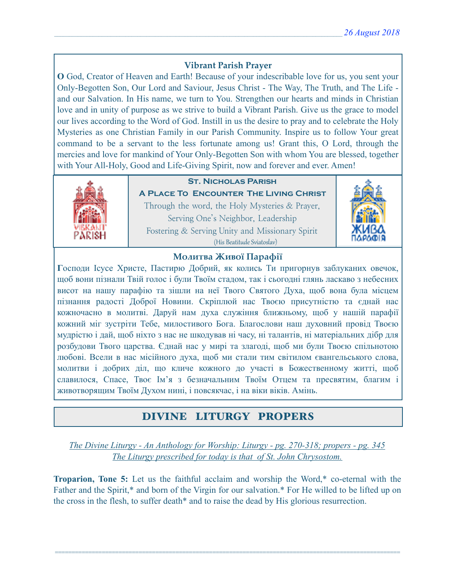### **Vibrant Parish Prayer**

**O** God, Creator of Heaven and Earth! Because of your indescribable love for us, you sent your Only-Begotten Son, Our Lord and Saviour, Jesus Christ - The Way, The Truth, and The Life and our Salvation. In His name, we turn to You. Strengthen our hearts and minds in Christian love and in unity of purpose as we strive to build a Vibrant Parish. Give us the grace to model our lives according to the Word of God. Instill in us the desire to pray and to celebrate the Holy Mysteries as one Christian Family in our Parish Community. Inspire us to follow Your great command to be a servant to the less fortunate among us! Grant this, O Lord, through the mercies and love for mankind of Your Only-Begotten Son with whom You are blessed, together with Your All-Holy, Good and Life-Giving Spirit, now and forever and ever. Amen!



## **St. Nicholas Parish**

**A Place To Encounter The Living Christ** Through the word, the Holy Mysteries & Prayer, Serving One's Neighbor, Leadership Fostering & Serving Unity and Missionary Spirit (His Beatitude Sviatoslav)



### **Молитва Живої Парафії**

**Г**осподи Ісусе Христе, Пастирю Добрий, як колись Ти пригорнув заблуканих овечок, щоб вони пізнали Твій голос і були Твоїм стадом, так і сьогодні глянь ласкаво з небесних висот на нашу парафію та зішли на неї Твого Святого Духа, щоб вона була місцем пізнання радості Доброї Новини. Скріплюй нас Твоєю присутністю та єднай нас кожночасно в молитві. Даруй нам духа служіння ближньому, щоб у нашій парафії кожний міг зустріти Тебе, милостивого Бога. Благослови наш духовний провід Твоєю мудрістю і дай, щоб ніхто з нас не шкодував ні часу, ні талантів, ні матеріальних дібр для розбудови Твого царства. Єднай нас у мирі та злагоді, щоб ми були Твоєю спільнотою любові. Всели в нас місійного духа, щоб ми стали тим світилом євангельського слова, молитви і добрих діл, що кличе кожного до участі в Божественному житті, щоб славилося, Спасе, Твоє Ім'я з безначальним Твоїм Отцем та пресвятим, благим і животворящим Твоїм Духом нині, і повсякчас, і на віки віків. Амінь.

# DIVINE LITURGY PROPERS

*The Divine Liturgy - An Anthology for Worship: Liturgy - pg. 270-318; propers - pg. 345 The Liturgy prescribed for today is that of St. John Chrysostom.* 

**Troparion, Tone 5:** Let us the faithful acclaim and worship the Word,\* co-eternal with the Father and the Spirit,\* and born of the Virgin for our salvation.\* For He willed to be lifted up on the cross in the flesh, to suffer death\* and to raise the dead by His glorious resurrection.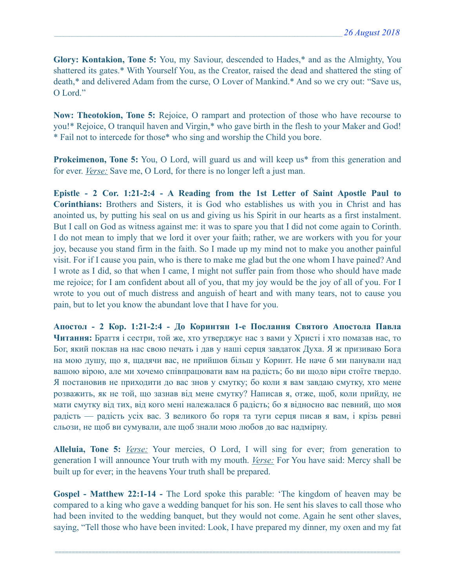**Glory: Kontakion, Tone 5:** You, my Saviour, descended to Hades,\* and as the Almighty, You shattered its gates.\* With Yourself You, as the Creator, raised the dead and shattered the sting of death,\* and delivered Adam from the curse, O Lover of Mankind.\* And so we cry out: "Save us, O Lord<sup>"</sup>

**Now: Theotokion, Tone 5:** Rejoice, O rampart and protection of those who have recourse to you!\* Rejoice, O tranquil haven and Virgin,\* who gave birth in the flesh to your Maker and God! \* Fail not to intercede for those\* who sing and worship the Child you bore.

**Prokeimenon, Tone 5:** You, O Lord, will guard us and will keep us<sup>\*</sup> from this generation and for ever. *Verse:* Save me, O Lord, for there is no longer left a just man.

**Epistle - 2 Cor. 1:21-2:4 - A Reading from the 1st Letter of Saint Apostle Paul to Corinthians:** Brothers and Sisters, it is God who establishes us with you in Christ and has anointed us, by putting his seal on us and giving us his Spirit in our hearts as a first instalment. But I call on God as witness against me: it was to spare you that I did not come again to Corinth. I do not mean to imply that we lord it over your faith; rather, we are workers with you for your joy, because you stand firm in the faith. So I made up my mind not to make you another painful visit. For if I cause you pain, who is there to make me glad but the one whom I have pained? And I wrote as I did, so that when I came, I might not suffer pain from those who should have made me rejoice; for I am confident about all of you, that my joy would be the joy of all of you. For I wrote to you out of much distress and anguish of heart and with many tears, not to cause you pain, but to let you know the abundant love that I have for you.

**Апостол - 2 Кор. 1:21-2:4 - До Коринтян 1-e Послання Святого Апостола Павла Читання:** Браття і сестри, той же, хто утверджує нас з вами у Христі і хто помазав нас, то Бог, який поклав на нас свою печать і дав у наші серця завдаток Духа. Я ж призиваю Бога на мою душу, що я, щадячи вас, не прийшов більш у Коринт. Не наче б ми панували над вашою вірою, але ми хочемо співпрацювати вам на радість; бо ви щодо віри стоїте твердо. Я постановив не приходити до вас знов у смутку; бо коли я вам завдаю смутку, хто мене розважить, як не той, що зазнав від мене смутку? Написав я, отже, щоб, коли прийду, не мати смутку від тих, від кого мені належалася б радість; бо я відносно вас певний, що моя радість — радість усіх вас. З великого бо горя та туги серця писав я вам, і крізь ревні сльози, не щоб ви сумували, але щоб знали мою любов до вас надмірну.

**Alleluia, Tone 5:** *Verse:* Your mercies, O Lord, I will sing for ever; from generation to generation I will announce Your truth with my mouth. *Verse:* For You have said: Mercy shall be built up for ever; in the heavens Your truth shall be prepared.

**Gospel - Matthew 22:1-14 -** The Lord spoke this parable: 'The kingdom of heaven may be compared to a king who gave a wedding banquet for his son. He sent his slaves to call those who had been invited to the wedding banquet, but they would not come. Again he sent other slaves, saying, "Tell those who have been invited: Look, I have prepared my dinner, my oxen and my fat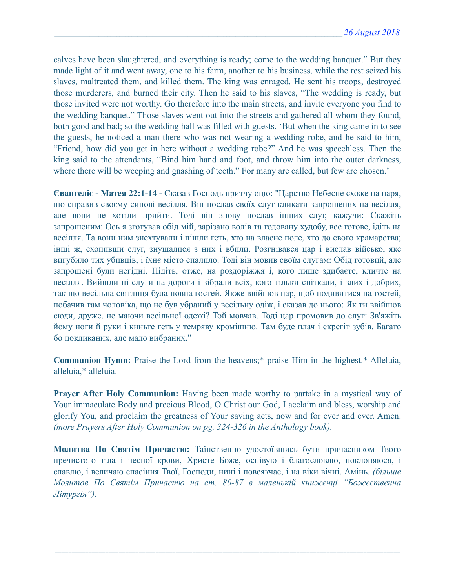calves have been slaughtered, and everything is ready; come to the wedding banquet." But they made light of it and went away, one to his farm, another to his business, while the rest seized his slaves, maltreated them, and killed them. The king was enraged. He sent his troops, destroyed those murderers, and burned their city. Then he said to his slaves, "The wedding is ready, but those invited were not worthy. Go therefore into the main streets, and invite everyone you find to the wedding banquet." Those slaves went out into the streets and gathered all whom they found, both good and bad; so the wedding hall was filled with guests. 'But when the king came in to see the guests, he noticed a man there who was not wearing a wedding robe, and he said to him, "Friend, how did you get in here without a wedding robe?" And he was speechless. Then the king said to the attendants, "Bind him hand and foot, and throw him into the outer darkness, where there will be weeping and gnashing of teeth." For many are called, but few are chosen.'

**Євангеліє - Матея 22:1-14 -** Сказав Господь притчу оцю: "Царство Небесне схоже на царя, що справив своєму синові весілля. Він послав своїх слуг кликати запрошених на весілля, але вони не хотіли прийти. Тоді він знову послав інших слуг, кажучи: Скажіть запрошеним: Ось я зготував обід мій, зарізано волів та годовану худобу, все готове, ідіть на весілля. Та вони ним знехтували і пішли геть, хто на власне поле, хто до свого крамарства; інші ж, схопивши слуг, знущалися з них і вбили. Розгнівався цар і вислав військо, яке вигубило тих убивців, і їхнє місто спалило. Тоді він мовив своїм слугам: Обід готовий, але запрошені були негідні. Підіть, отже, на роздоріжжя і, кого лише здибаєте, кличте на весілля. Вийшли ці слуги на дороги і зібрали всіх, кого тільки спіткали, і злих і добрих, так що весільна світлиця була повна гостей. Якже ввійшов цар, щоб подивитися на гостей, побачив там чоловіка, що не був убраний у весільну одіж, і сказав до нього: Як ти ввійшов сюди, друже, не маючи весільної одежі? Той мовчав. Тоді цар промовив до слуг: Зв'яжіть йому ноги й руки і киньте геть у темряву кромішню. Там буде плач і скрегіт зубів. Багато бо покликаних, але мало вибраних."

**Communion Hymn:** Praise the Lord from the heavens;\* praise Him in the highest.\* Alleluia, alleluia,\* alleluia.

**Prayer After Holy Communion:** Having been made worthy to partake in a mystical way of Your immaculate Body and precious Blood, O Christ our God, I acclaim and bless, worship and glorify You, and proclaim the greatness of Your saving acts, now and for ever and ever. Amen. *(more Prayers After Holy Communion on pg. 324-326 in the Anthology book).* 

**Молитва По Святім Причастю:** Таїнственно удостоївшись бути причасником Твого пречистого тіла і чесної крови, Христе Боже, оспівую і благословлю, поклоняюся, і славлю, і величаю спасіння Твої, Господи, нині і повсякчас, і на віки вічні. Амінь. *(більше Молитов По Святім Причастю на ст. 80-87 в маленькій книжечці "Божественна Літургія")*.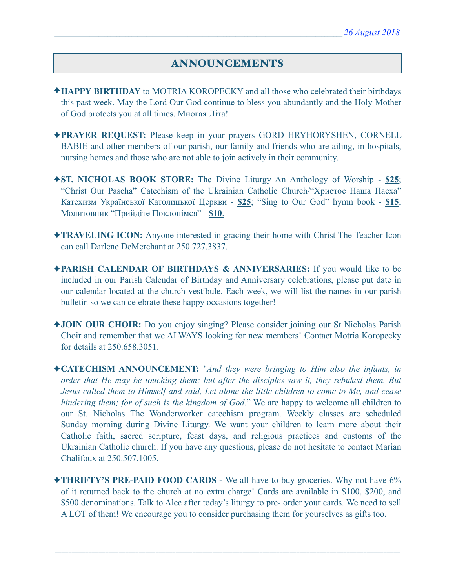# ANNOUNCEMENTS

- ✦**HAPPY BIRTHDAY** to MOTRIA KOROPECKY and all those who celebrated their birthdays this past week. May the Lord Our God continue to bless you abundantly and the Holy Mother of God protects you at all times. Многая Літа!
- ✦**PRAYER REQUEST:** Please keep in your prayers GORD HRYHORYSHEN, CORNELL BABIE and other members of our parish, our family and friends who are ailing, in hospitals, nursing homes and those who are not able to join actively in their community.
- ✦**ST. NICHOLAS BOOK STORE:** The Divine Liturgy An Anthology of Worship **\$25**; "Christ Our Pascha" Catechism of the Ukrainian Catholic Church/"Христос Наша Пасха" Катехизм Української Католицької Церкви - **\$25**; "Sing to Our God" hymn book - **\$15**; Молитовник "Прийдіте Поклонімся" - **\$10**.
- ✦**TRAVELING ICON:** Anyone interested in gracing their home with Christ The Teacher Icon can call Darlene DeMerchant at 250.727.3837.
- ✦**PARISH CALENDAR OF BIRTHDAYS & ANNIVERSARIES:** If you would like to be included in our Parish Calendar of Birthday and Anniversary celebrations, please put date in our calendar located at the church vestibule. Each week, we will list the names in our parish bulletin so we can celebrate these happy occasions together!
- ✦**JOIN OUR CHOIR:** Do you enjoy singing? Please consider joining our St Nicholas Parish Choir and remember that we ALWAYS looking for new members! Contact Motria Koropecky for details at 250.658.3051.
- ✦**CATECHISM ANNOUNCEMENT:** "*And they were bringing to Him also the infants, in order that He may be touching them; but after the disciples saw it, they rebuked them. But Jesus called them to Himself and said, Let alone the little children to come to Me, and cease hindering them; for of such is the kingdom of God*." We are happy to welcome all children to our St. Nicholas The Wonderworker catechism program. Weekly classes are scheduled Sunday morning during Divine Liturgy. We want your children to learn more about their Catholic faith, sacred scripture, feast days, and religious practices and customs of the Ukrainian Catholic church. If you have any questions, please do not hesitate to contact Marian Chalifoux at 250.507.1005.
- ✦**THRIFTY'S PRE-PAID FOOD CARDS** We all have to buy groceries. Why not have 6% of it returned back to the church at no extra charge! Cards are available in \$100, \$200, and \$500 denominations. Talk to Alec after today's liturgy to pre- order your cards. We need to sell A LOT of them! We encourage you to consider purchasing them for yourselves as gifts too.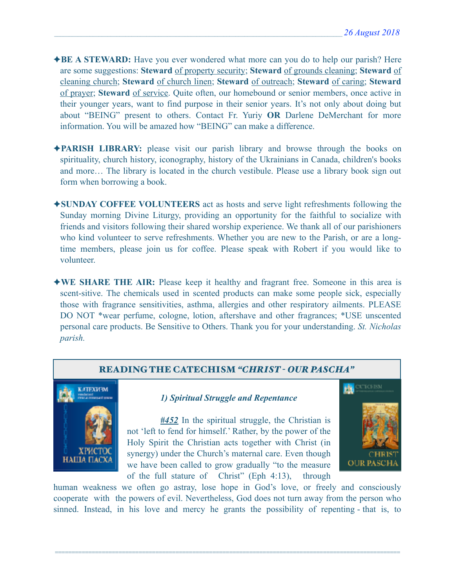- ✦**BE A STEWARD:** Have you ever wondered what more can you do to help our parish? Here are some suggestions: **Steward** of property security; **Steward** of grounds cleaning; **Steward** of cleaning church; **Steward** of church linen; **Steward** of outreach; **Steward** of caring; **Steward** of prayer; **Steward** of service. Quite often, our homebound or senior members, once active in their younger years, want to find purpose in their senior years. It's not only about doing but about "BEING" present to others. Contact Fr. Yuriy **OR** Darlene DeMerchant for more information. You will be amazed how "BEING" can make a difference.
- ✦**PARISH LIBRARY:** please visit our parish library and browse through the books on spirituality, church history, iconography, history of the Ukrainians in Canada, children's books and more… The library is located in the church vestibule. Please use a library book sign out form when borrowing a book.
- ✦**SUNDAY COFFEE VOLUNTEERS** act as hosts and serve light refreshments following the Sunday morning Divine Liturgy, providing an opportunity for the faithful to socialize with friends and visitors following their shared worship experience. We thank all of our parishioners who kind volunteer to serve refreshments. Whether you are new to the Parish, or are a longtime members, please join us for coffee. Please speak with Robert if you would like to volunteer.
- ✦**WE SHARE THE AIR:** Please keep it healthy and fragrant free. Someone in this area is scent-sitive. The chemicals used in scented products can make some people sick, especially those with fragrance sensitivities, asthma, allergies and other respiratory ailments. PLEASE DO NOT \*wear perfume, cologne, lotion, aftershave and other fragrances; \*USE unscented personal care products. Be Sensitive to Others. Thank you for your understanding. *St. Nicholas parish.*



CATECHISM **OUR PASCHA** 

human weakness we often go astray, lose hope in God's love, or freely and consciously cooperate with the powers of evil. Nevertheless, God does not turn away from the person who sinned. Instead, in his love and mercy he grants the possibility of repenting - that is, to

=======================================================================================================

of the full stature of Christ" (Eph 4:13), through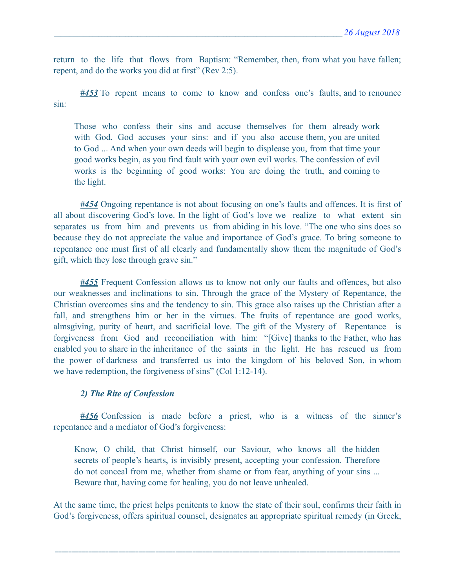return to the life that flows from Baptism: "Remember, then, from what you have fallen; repent, and do the works you did at first" (Rev 2:5).

*#453* To repent means to come to know and confess one's faults, and to renounce sin:

Those who confess their sins and accuse themselves for them already work with God. God accuses your sins: and if you also accuse them, you are united to God ... And when your own deeds will begin to displease you, from that time your good works begin, as you find fault with your own evil works. The confession of evil works is the beginning of good works: You are doing the truth, and coming to the light.

*#454* Ongoing repentance is not about focusing on one's faults and offences. It is first of all about discovering God's love. In the light of God's love we realize to what extent sin separates us from him and prevents us from abiding in his love. "The one who sins does so because they do not appreciate the value and importance of God's grace. To bring someone to repentance one must first of all clearly and fundamentally show them the magnitude of God's gift, which they lose through grave sin."

*#455* Frequent Confession allows us to know not only our faults and offences, but also our weaknesses and inclinations to sin. Through the grace of the Mystery of Repentance, the Christian overcomes sins and the tendency to sin. This grace also raises up the Christian after a fall, and strengthens him or her in the virtues. The fruits of repentance are good works, almsgiving, purity of heart, and sacrificial love. The gift of the Mystery of Repentance is forgiveness from God and reconciliation with him: "[Give] thanks to the Father, who has enabled you to share in the inheritance of the saints in the light. He has rescued us from the power of darkness and transferred us into the kingdom of his beloved Son, in whom we have redemption, the forgiveness of sins" (Col 1:12-14).

### *2) The Rite of Confession*

*#456* Confession is made before a priest, who is a witness of the sinner's repentance and a mediator of God's forgiveness:

Know, O child, that Christ himself, our Saviour, who knows all the hidden secrets of people's hearts, is invisibly present, accepting your confession. Therefore do not conceal from me, whether from shame or from fear, anything of your sins ... Beware that, having come for healing, you do not leave unhealed.

At the same time, the priest helps penitents to know the state of their soul, confirms their faith in God's forgiveness, offers spiritual counsel, designates an appropriate spiritual remedy (in Greek,